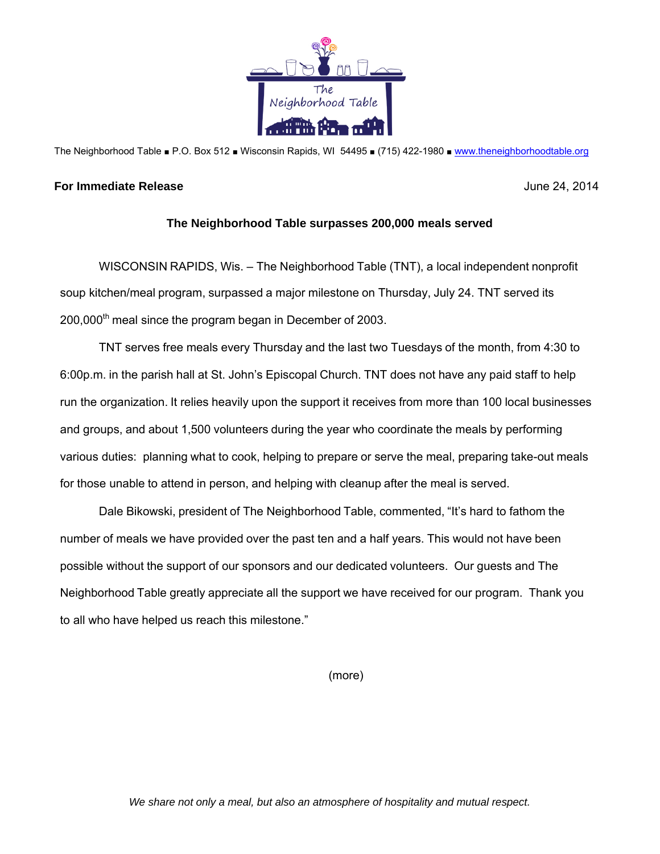

The Neighborhood Table ■ P.O. Box 512 ■ Wisconsin Rapids, WI 54495 ■ (715) 422-1980 ■ www.theneighborhoodtable.org

## **For Immediate Release** June 24, 2014

## **The Neighborhood Table surpasses 200,000 meals served**

WISCONSIN RAPIDS, Wis. – The Neighborhood Table (TNT), a local independent nonprofit soup kitchen/meal program, surpassed a major milestone on Thursday, July 24. TNT served its  $200,000<sup>th</sup>$  meal since the program began in December of 2003.

TNT serves free meals every Thursday and the last two Tuesdays of the month, from 4:30 to 6:00p.m. in the parish hall at St. John's Episcopal Church. TNT does not have any paid staff to help run the organization. It relies heavily upon the support it receives from more than 100 local businesses and groups, and about 1,500 volunteers during the year who coordinate the meals by performing various duties: planning what to cook, helping to prepare or serve the meal, preparing take-out meals for those unable to attend in person, and helping with cleanup after the meal is served.

Dale Bikowski, president of The Neighborhood Table, commented, "It's hard to fathom the number of meals we have provided over the past ten and a half years. This would not have been possible without the support of our sponsors and our dedicated volunteers. Our guests and The Neighborhood Table greatly appreciate all the support we have received for our program. Thank you to all who have helped us reach this milestone."

(more)